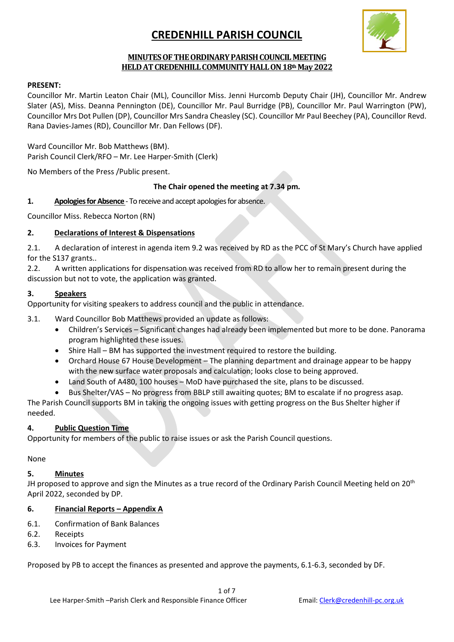

### MINUTES OF THE ORDINARY PARISH COUNCIL MEETING HELD AT CREDENHILL COMMUNITY HALL ON 18th May 2022

#### PRESENT:

Councillor Mr. Martin Leaton Chair (ML), Councillor Miss. Jenni Hurcomb Deputy Chair (JH), Councillor Mr. Andrew Slater (AS), Miss. Deanna Pennington (DE), Councillor Mr. Paul Burridge (PB), Councillor Mr. Paul Warrington (PW), Councillor Mrs Dot Pullen (DP), Councillor Mrs Sandra Cheasley (SC). Councillor Mr Paul Beechey (PA), Councillor Revd. Rana Davies-James (RD), Councillor Mr. Dan Fellows (DF).

Ward Councillor Mr. Bob Matthews (BM). Parish Council Clerk/RFO – Mr. Lee Harper-Smith (Clerk)

No Members of the Press /Public present.

### The Chair opened the meeting at 7.34 pm.

1. Apologies for Absence - To receive and accept apologies for absence.

Councillor Miss. Rebecca Norton (RN)

### 2. Declarations of Interest & Dispensations

2.1. A declaration of interest in agenda item 9.2 was received by RD as the PCC of St Mary's Church have applied for the S137 grants..

2.2. A written applications for dispensation was received from RD to allow her to remain present during the discussion but not to vote, the application was granted.

#### 3. Speakers

Opportunity for visiting speakers to address council and the public in attendance.

3.1. Ward Councillor Bob Matthews provided an update as follows:

- Children's Services Significant changes had already been implemented but more to be done. Panorama program highlighted these issues.
- Shire Hall BM has supported the investment required to restore the building.
- Orchard House 67 House Development The planning department and drainage appear to be happy with the new surface water proposals and calculation; looks close to being approved.
- Land South of A480, 100 houses MoD have purchased the site, plans to be discussed.
- Bus Shelter/VAS No progress from BBLP still awaiting quotes; BM to escalate if no progress asap.

The Parish Council supports BM in taking the ongoing issues with getting progress on the Bus Shelter higher if needed.

### 4. Public Question Time

Opportunity for members of the public to raise issues or ask the Parish Council questions.

None

#### 5. Minutes

JH proposed to approve and sign the Minutes as a true record of the Ordinary Parish Council Meeting held on 20<sup>th</sup> April 2022, seconded by DP.

#### 6. Financial Reports – Appendix A

- 6.1. Confirmation of Bank Balances
- 6.2. Receipts
- 6.3. Invoices for Payment

Proposed by PB to accept the finances as presented and approve the payments, 6.1-6.3, seconded by DF.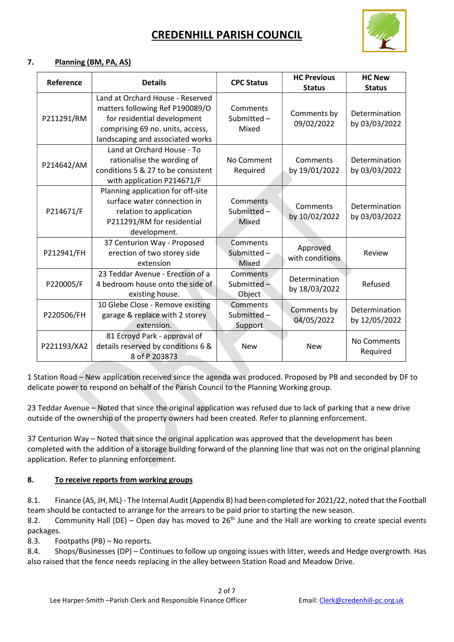

### 7. Planning (BM, PA, AS)

| Reference   | <b>Details</b>                                                                                                                                                             | <b>CPC Status</b>                   | <b>HC Previous</b><br><b>Status</b> | <b>HC New</b><br><b>Status</b> |
|-------------|----------------------------------------------------------------------------------------------------------------------------------------------------------------------------|-------------------------------------|-------------------------------------|--------------------------------|
| P211291/RM  | Land at Orchard House - Reserved<br>matters following Ref P190089/O<br>for residential development<br>comprising 69 no. units, access,<br>landscaping and associated works | Comments<br>Submitted-<br>Mixed     | Comments by<br>09/02/2022           | Determination<br>by 03/03/2022 |
| P214642/AM  | Land at Orchard House - To<br>rationalise the wording of<br>conditions 5 & 27 to be consistent<br>with application P214671/F                                               | No Comment<br>Required              | Comments<br>by 19/01/2022           | Determination<br>by 03/03/2022 |
| P214671/F   | Planning application for off-site<br>surface water connection in<br>relation to application<br>P211291/RM for residential<br>development.                                  | Comments<br>Submitted -<br>Mixed    | Comments<br>by 10/02/2022           | Determination<br>by 03/03/2022 |
| P212941/FH  | 37 Centurion Way - Proposed<br>erection of two storey side<br>extension                                                                                                    | Comments<br>Submitted-<br>Mixed     | Approved<br>with conditions         | Review                         |
| P220005/F   | 23 Teddar Avenue - Erection of a<br>4 bedroom house onto the side of<br>existing house.                                                                                    | Comments<br>Submitted $-$<br>Object | Determination<br>by 18/03/2022      | Refused                        |
| P220506/FH  | 10 Glebe Close - Remove existing<br>garage & replace with 2 storey<br>extension.                                                                                           | Comments<br>Submitted-<br>Support   | Comments by<br>04/05/2022           | Determination<br>by 12/05/2022 |
| P221193/XA2 | 81 Ecroyd Park - approval of<br>details reserved by conditions 6 &<br>8 of P 203873                                                                                        | <b>New</b>                          | <b>New</b>                          | No Comments<br>Required        |

1 Station Road – New application received since the agenda was produced. Proposed by PB and seconded by DF to delicate power to respond on behalf of the Parish Council to the Planning Working group.

23 Teddar Avenue – Noted that since the original application was refused due to lack of parking that a new drive outside of the ownership of the property owners had been created. Refer to planning enforcement.

37 Centurion Way – Noted that since the original application was approved that the development has been completed with the addition of a storage building forward of the planning line that was not on the original planning application. Refer to planning enforcement.

### 8. To receive reports from working groups

8.1. Finance (AS, JH, ML) - The Internal Audit (Appendix B) had been completed for 2021/22, noted that the Football team should be contacted to arrange for the arrears to be paid prior to starting the new season.

8.2. Community Hall (DE) – Open day has moved to  $26<sup>th</sup>$  June and the Hall are working to create special events packages.

8.3. Footpaths (PB) – No reports.

8.4. Shops/Businesses (DP) – Continues to follow up ongoing issues with litter, weeds and Hedge overgrowth. Has also raised that the fence needs replacing in the alley between Station Road and Meadow Drive.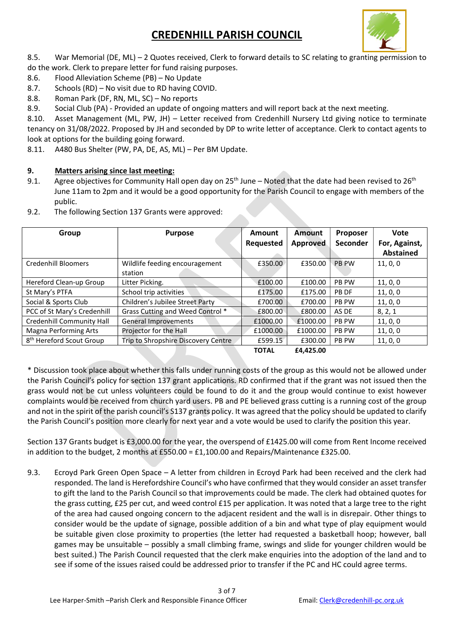

8.5. War Memorial (DE, ML) – 2 Quotes received, Clerk to forward details to SC relating to granting permission to do the work. Clerk to prepare letter for fund raising purposes.

- 8.6. Flood Alleviation Scheme (PB) No Update
- 8.7. Schools (RD) No visit due to RD having COVID.
- 8.8. Roman Park (DF, RN, ML, SC) No reports
- 8.9. Social Club (PA) Provided an update of ongoing matters and will report back at the next meeting.

8.10. Asset Management (ML, PW, JH) – Letter received from Credenhill Nursery Ltd giving notice to terminate tenancy on 31/08/2022. Proposed by JH and seconded by DP to write letter of acceptance. Clerk to contact agents to look at options for the building going forward.

8.11. A480 Bus Shelter (PW, PA, DE, AS, ML) – Per BM Update.

### 9. Matters arising since last meeting:

9.1. Agree objectives for Community Hall open day on 25<sup>th</sup> June – Noted that the date had been revised to 26<sup>th</sup> June 11am to 2pm and it would be a good opportunity for the Parish Council to engage with members of the public.

| 9.2. | The following Section 137 Grants were approved: |
|------|-------------------------------------------------|
|------|-------------------------------------------------|

| Group                                | <b>Purpose</b>                      | Amount       | Amount          | Proposer     | Vote             |
|--------------------------------------|-------------------------------------|--------------|-----------------|--------------|------------------|
|                                      |                                     | Requested    | <b>Approved</b> | Seconder     | For, Against,    |
|                                      |                                     |              |                 |              | <b>Abstained</b> |
| <b>Credenhill Bloomers</b>           | Wildlife feeding encouragement      | £350.00      | £350.00         | <b>PB PW</b> | 11, 0, 0         |
|                                      | station                             |              |                 |              |                  |
| Hereford Clean-up Group              | Litter Picking.                     | £100.00      | £100.00         | <b>PB PW</b> | 11, 0, 0         |
| St Mary's PTFA                       | School trip activities              | £175.00      | £175.00         | PB DF        | 11, 0, 0         |
| Social & Sports Club                 | Children's Jubilee Street Party     | £700.00      | £700.00         | <b>PB PW</b> | 11, 0, 0         |
| PCC of St Mary's Credenhill          | Grass Cutting and Weed Control *    | £800.00      | £800.00         | AS DE        | 8, 2, 1          |
| <b>Credenhill Community Hall</b>     | <b>General Improvements</b>         | £1000.00     | £1000.00        | <b>PB PW</b> | 11, 0, 0         |
| <b>Magna Performing Arts</b>         | Projector for the Hall              | £1000.00     | £1000.00        | <b>PB PW</b> | 11, 0, 0         |
| 8 <sup>th</sup> Hereford Scout Group | Trip to Shropshire Discovery Centre | £599.15      | £300.00         | <b>PB PW</b> | 11, 0, 0         |
|                                      |                                     | <b>TOTAL</b> | £4.425.00       |              |                  |

\* Discussion took place about whether this falls under running costs of the group as this would not be allowed under the Parish Council's policy for section 137 grant applications. RD confirmed that if the grant was not issued then the grass would not be cut unless volunteers could be found to do it and the group would continue to exist however complaints would be received from church yard users. PB and PE believed grass cutting is a running cost of the group and not in the spirit of the parish council's S137 grants policy. It was agreed that the policy should be updated to clarify the Parish Council's position more clearly for next year and a vote would be used to clarify the position this year.

Section 137 Grants budget is £3,000.00 for the year, the overspend of £1425.00 will come from Rent Income received in addition to the budget, 2 months at £550.00 = £1,100.00 and Repairs/Maintenance £325.00.

9.3. Ecroyd Park Green Open Space – A letter from children in Ecroyd Park had been received and the clerk had responded. The land is Herefordshire Council's who have confirmed that they would consider an asset transfer to gift the land to the Parish Council so that improvements could be made. The clerk had obtained quotes for the grass cutting, £25 per cut, and weed control £15 per application. It was noted that a large tree to the right of the area had caused ongoing concern to the adjacent resident and the wall is in disrepair. Other things to consider would be the update of signage, possible addition of a bin and what type of play equipment would be suitable given close proximity to properties (the letter had requested a basketball hoop; however, ball games may be unsuitable – possibly a small climbing frame, swings and slide for younger children would be best suited.) The Parish Council requested that the clerk make enquiries into the adoption of the land and to see if some of the issues raised could be addressed prior to transfer if the PC and HC could agree terms.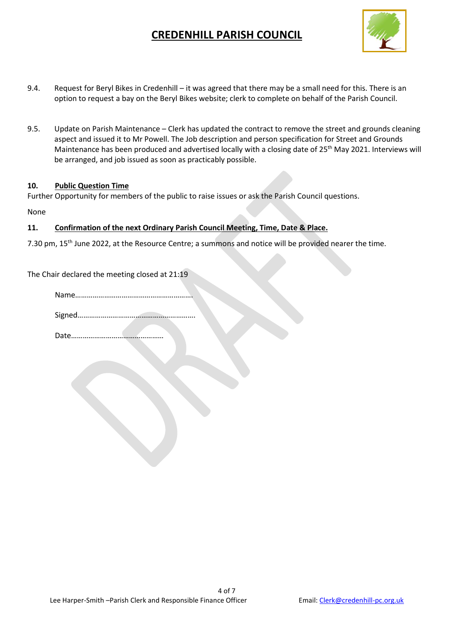

- 9.4. Request for Beryl Bikes in Credenhill it was agreed that there may be a small need for this. There is an option to request a bay on the Beryl Bikes website; clerk to complete on behalf of the Parish Council.
- 9.5. Update on Parish Maintenance Clerk has updated the contract to remove the street and grounds cleaning aspect and issued it to Mr Powell. The Job description and person specification for Street and Grounds Maintenance has been produced and advertised locally with a closing date of 25<sup>th</sup> May 2021. Interviews will be arranged, and job issued as soon as practicably possible.

#### 10. Public Question Time

Further Opportunity for members of the public to raise issues or ask the Parish Council questions.

None

### 11. Confirmation of the next Ordinary Parish Council Meeting, Time, Date & Place.

7.30 pm, 15th June 2022, at the Resource Centre; a summons and notice will be provided nearer the time.

The Chair declared the meeting closed at 21:19

Signed…………………………………………………….

Date…………………………………………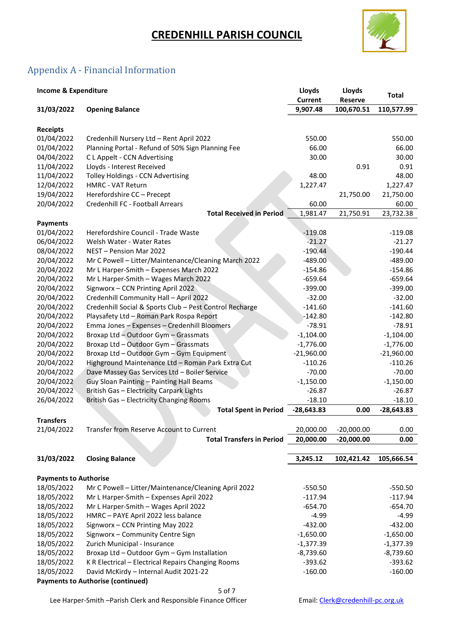

## Appendix A - Financial Information

| <b>Income &amp; Expenditure</b>          |                                                         | Lloyds<br><b>Current</b> | Lloyds<br><b>Reserve</b> | <b>Total</b> |  |  |
|------------------------------------------|---------------------------------------------------------|--------------------------|--------------------------|--------------|--|--|
| 31/03/2022                               | <b>Opening Balance</b>                                  | 9,907.48                 | 100,670.51               | 110,577.99   |  |  |
|                                          |                                                         |                          |                          |              |  |  |
| <b>Receipts</b>                          |                                                         |                          |                          |              |  |  |
| 01/04/2022                               | Credenhill Nursery Ltd - Rent April 2022                | 550.00                   |                          | 550.00       |  |  |
| 01/04/2022                               | Planning Portal - Refund of 50% Sign Planning Fee       | 66.00                    |                          | 66.00        |  |  |
| 04/04/2022                               | C L Appelt - CCN Advertising                            | 30.00                    |                          | 30.00        |  |  |
| 11/04/2022                               | Lloyds - Interest Received                              |                          | 0.91                     | 0.91         |  |  |
| 11/04/2022                               | Tolley Holdings - CCN Advertising                       | 48.00                    |                          | 48.00        |  |  |
| 12/04/2022                               | <b>HMRC - VAT Return</b>                                | 1,227.47                 |                          | 1,227.47     |  |  |
| 19/04/2022                               | Herefordshire CC - Precept                              |                          | 21,750.00                | 21,750.00    |  |  |
| 20/04/2022                               | Credenhill FC - Football Arrears                        | 60.00                    |                          | 60.00        |  |  |
|                                          | <b>Total Received in Period</b>                         | 1,981.47                 | 21,750.91                | 23,732.38    |  |  |
| <b>Payments</b>                          |                                                         |                          |                          |              |  |  |
| 01/04/2022                               | Herefordshire Council - Trade Waste                     | $-119.08$                |                          | $-119.08$    |  |  |
| 06/04/2022                               | Welsh Water - Water Rates                               | $-21.27$                 |                          | $-21.27$     |  |  |
| 08/04/2022                               | NEST - Pension Mar 2022                                 | $-190.44$                |                          | $-190.44$    |  |  |
| 20/04/2022                               | Mr C Powell - Litter/Maintenance/Cleaning March 2022    | $-489.00$                |                          | $-489.00$    |  |  |
| 20/04/2022                               | Mr L Harper-Smith - Expenses March 2022                 | $-154.86$                |                          | $-154.86$    |  |  |
| 20/04/2022                               | Mr L Harper-Smith - Wages March 2022                    | $-659.64$                |                          | $-659.64$    |  |  |
| 20/04/2022                               | Signworx - CCN Printing April 2022                      | $-399.00$                |                          | $-399.00$    |  |  |
| 20/04/2022                               | Credenhill Community Hall - April 2022                  | $-32.00$                 |                          | $-32.00$     |  |  |
| 20/04/2022                               | Credenhill Social & Sports Club - Pest Control Recharge | $-141.60$                |                          | $-141.60$    |  |  |
| 20/04/2022                               | Playsafety Ltd - Roman Park Rospa Report                | $-142.80$                |                          | $-142.80$    |  |  |
| 20/04/2022                               | Emma Jones - Expenses - Credenhill Bloomers             | $-78.91$                 |                          | $-78.91$     |  |  |
| 20/04/2022                               | Broxap Ltd - Outdoor Gym - Grassmats                    | $-1,104.00$              |                          | $-1,104.00$  |  |  |
| 20/04/2022                               | Broxap Ltd - Outdoor Gym - Grassmats                    | $-1,776.00$              |                          | $-1,776.00$  |  |  |
| 20/04/2022                               | Broxap Ltd - Outdoor Gym - Gym Equipment                | $-21,960.00$             |                          | $-21,960.00$ |  |  |
| 20/04/2022                               | Highground Maintenance Ltd - Roman Park Extra Cut       | $-110.26$                |                          | $-110.26$    |  |  |
| 20/04/2022                               | Dave Massey Gas Services Ltd - Boiler Service           | $-70.00$                 |                          | $-70.00$     |  |  |
| 20/04/2022                               | Guy Sloan Painting - Painting Hall Beams                | $-1,150.00$              |                          | $-1,150.00$  |  |  |
| 20/04/2022                               | <b>British Gas - Electricity Carpark Lights</b>         | $-26.87$                 |                          | $-26.87$     |  |  |
| 26/04/2022                               | British Gas - Electricity Changing Rooms                | $-18.10$                 |                          | $-18.10$     |  |  |
|                                          | <b>Total Spent in Period</b>                            | $-28,643.83$             | 0.00                     | $-28,643.83$ |  |  |
| <b>Transfers</b>                         |                                                         |                          |                          |              |  |  |
| 21/04/2022                               | Transfer from Reserve Account to Current                | 20,000.00                | $-20,000.00$             | 0.00         |  |  |
|                                          | <b>Total Transfers in Period</b>                        | 20,000.00                | $-20,000.00$             | 0.00         |  |  |
|                                          |                                                         |                          |                          |              |  |  |
| 31/03/2022                               | <b>Closing Balance</b>                                  | 3,245.12                 | 102,421.42               | 105,666.54   |  |  |
|                                          |                                                         |                          |                          |              |  |  |
| <b>Payments to Authorise</b>             |                                                         |                          |                          |              |  |  |
| 18/05/2022                               | Mr C Powell - Litter/Maintenance/Cleaning April 2022    | $-550.50$                |                          | $-550.50$    |  |  |
| 18/05/2022                               | Mr L Harper-Smith - Expenses April 2022                 | $-117.94$                |                          | $-117.94$    |  |  |
| 18/05/2022                               | Mr L Harper-Smith - Wages April 2022                    | $-654.70$                |                          | $-654.70$    |  |  |
| 18/05/2022                               | HMRC - PAYE April 2022 less balance                     | $-4.99$                  |                          | $-4.99$      |  |  |
| 18/05/2022                               | Signworx - CCN Printing May 2022                        | $-432.00$                |                          | $-432.00$    |  |  |
| 18/05/2022                               | Signworx - Community Centre Sign                        | $-1,650.00$              |                          | $-1,650.00$  |  |  |
| 18/05/2022                               | Zurich Municipal - Insurance                            | $-1,377.39$              |                          | $-1,377.39$  |  |  |
| 18/05/2022                               | Broxap Ltd - Outdoor Gym - Gym Installation             | $-8,739.60$              |                          | $-8,739.60$  |  |  |
| 18/05/2022                               | K R Electrical - Electrical Repairs Changing Rooms      | $-393.62$                |                          | $-393.62$    |  |  |
| 18/05/2022                               | David McKirdy - Internal Audit 2021-22                  | $-160.00$                |                          | $-160.00$    |  |  |
| <b>Payments to Authorise (continued)</b> |                                                         |                          |                          |              |  |  |

5 of 7

Lee Harper-Smith -Parish Clerk and Responsible Finance Officer Email: Clerk@credenhill-pc.org.uk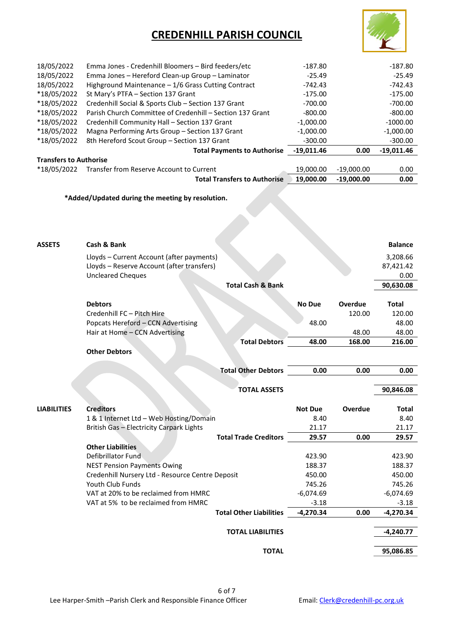

| 18/05/2022                    | Emma Jones - Credenhill Bloomers - Bird feeders/etc       | $-187.80$    |              | $-187.80$    |
|-------------------------------|-----------------------------------------------------------|--------------|--------------|--------------|
| 18/05/2022                    | Emma Jones - Hereford Clean-up Group - Laminator          | $-25.49$     |              | $-25.49$     |
| 18/05/2022                    | Highground Maintenance - 1/6 Grass Cutting Contract       | $-742.43$    |              | $-742.43$    |
| *18/05/2022                   | St Mary's PTFA - Section 137 Grant                        | $-175.00$    |              | $-175.00$    |
| *18/05/2022                   | Credenhill Social & Sports Club - Section 137 Grant       | $-700.00$    |              | $-700.00$    |
| *18/05/2022                   | Parish Church Committee of Credenhill - Section 137 Grant | $-800.00$    |              | $-800.00$    |
| *18/05/2022                   | Credenhill Community Hall - Section 137 Grant             | $-1,000.00$  |              | $-1000.00$   |
| *18/05/2022                   | Magna Performing Arts Group - Section 137 Grant           | $-1,000.00$  |              | $-1,000.00$  |
| *18/05/2022                   | 8th Hereford Scout Group - Section 137 Grant              | $-300.00$    |              | $-300.00$    |
|                               | <b>Total Payments to Authorise</b>                        | $-19,011.46$ | 0.00         | $-19,011.46$ |
| <b>Transfers to Authorise</b> |                                                           |              |              |              |
| *18/05/2022                   | Transfer from Reserve Account to Current                  | 19,000.00    | $-19,000.00$ | 0.00         |
|                               | <b>Total Transfers to Authorise</b>                       | 19,000.00    | $-19,000,00$ | 0.00         |

### \*Added/Updated during the meeting by resolution.

| *Added/Updated during the meeting by resolution. |                                                                                         |                                |                |                |                       |
|--------------------------------------------------|-----------------------------------------------------------------------------------------|--------------------------------|----------------|----------------|-----------------------|
|                                                  |                                                                                         |                                |                |                |                       |
| <b>ASSETS</b>                                    | Cash & Bank                                                                             |                                |                |                | <b>Balance</b>        |
|                                                  | Lloyds - Current Account (after payments)<br>Lloyds - Reserve Account (after transfers) |                                |                |                | 3,208.66<br>87,421.42 |
|                                                  | <b>Uncleared Cheques</b>                                                                | <b>Total Cash &amp; Bank</b>   |                |                | 0.00<br>90,630.08     |
|                                                  | <b>Debtors</b>                                                                          |                                | <b>No Due</b>  | <b>Overdue</b> | <b>Total</b>          |
|                                                  | Credenhill FC - Pitch Hire                                                              |                                |                | 120.00         | 120.00                |
|                                                  | Popcats Hereford - CCN Advertising<br>Hair at Home - CCN Advertising                    |                                | 48.00          | 48.00          | 48.00<br>48.00        |
|                                                  |                                                                                         | <b>Total Debtors</b>           | 48.00          | 168.00         | 216.00                |
|                                                  | <b>Other Debtors</b>                                                                    |                                |                |                |                       |
|                                                  |                                                                                         | <b>Total Other Debtors</b>     | 0.00           | 0.00           | 0.00                  |
|                                                  |                                                                                         |                                |                |                |                       |
|                                                  |                                                                                         | <b>TOTAL ASSETS</b>            |                |                | 90,846.08             |
| <b>LIABILITIES</b>                               | <b>Creditors</b>                                                                        |                                | <b>Not Due</b> | Overdue        | Total                 |
|                                                  | 1 & 1 Internet Ltd - Web Hosting/Domain                                                 |                                | 8.40           |                | 8.40                  |
|                                                  | <b>British Gas - Electricity Carpark Lights</b>                                         |                                | 21.17          |                | 21.17                 |
|                                                  |                                                                                         | <b>Total Trade Creditors</b>   | 29.57          | 0.00           | 29.57                 |
|                                                  | <b>Other Liabilities</b><br>Defibrillator Fund                                          |                                | 423.90         |                | 423.90                |
|                                                  | <b>NEST Pension Payments Owing</b>                                                      |                                | 188.37         |                | 188.37                |
|                                                  | Credenhill Nursery Ltd - Resource Centre Deposit                                        |                                | 450.00         |                | 450.00                |
|                                                  | Youth Club Funds                                                                        |                                | 745.26         |                | 745.26                |
|                                                  | VAT at 20% to be reclaimed from HMRC                                                    |                                | $-6,074.69$    |                | $-6,074.69$           |
|                                                  | VAT at 5% to be reclaimed from HMRC                                                     |                                | $-3.18$        |                | $-3.18$               |
|                                                  |                                                                                         | <b>Total Other Liabilities</b> | $-4,270.34$    | 0.00           | $-4,270.34$           |
|                                                  |                                                                                         |                                |                |                |                       |
|                                                  |                                                                                         | <b>TOTAL LIABILITIES</b>       |                |                | $-4,240.77$           |
|                                                  |                                                                                         | <b>TOTAL</b>                   |                |                | 95,086.85             |